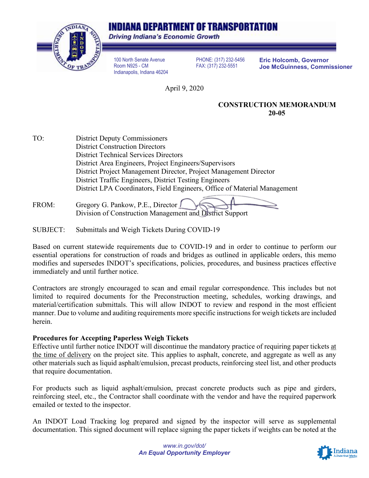# INDIANA DEPARTMENT OF TRANSPORTATION



Driving Indiana's Economic Growth

100 North Senate Avenue Room N925 - CM Indianapolis, Indiana 46204

PHONE: (317) 232-5456 FAX: (317) 232-5551

**Eric Holcomb, Governor Joe McGuinness, Commissioner**

April 9, 2020

#### **CONSTRUCTION MEMORANDUM 20-05**

TO: District Deputy Commissioners District Construction Directors District Technical Services Directors District Area Engineers, Project Engineers/Supervisors District Project Management Director, Project Management Director District Traffic Engineers, District Testing Engineers District LPA Coordinators, Field Engineers, Office of Material Management

FROM: Gregory G. Pankow, P.E., Director Division of Construction Management and District Support

SUBJECT: Submittals and Weigh Tickets During COVID-19

Based on current statewide requirements due to COVID-19 and in order to continue to perform our essential operations for construction of roads and bridges as outlined in applicable orders, this memo modifies and supersedes INDOT's specifications, policies, procedures, and business practices effective immediately and until further notice.

Contractors are strongly encouraged to scan and email regular correspondence. This includes but not limited to required documents for the Preconstruction meeting, schedules, working drawings, and material/certification submittals. This will allow INDOT to review and respond in the most efficient manner. Due to volume and auditing requirements more specific instructions for weigh tickets are included herein.

## **Procedures for Accepting Paperless Weigh Tickets**

Effective until further notice INDOT will discontinue the mandatory practice of requiring paper tickets at the time of delivery on the project site. This applies to asphalt, concrete, and aggregate as well as any other materials such as liquid asphalt/emulsion, precast products, reinforcing steel list, and other products that require documentation.

For products such as liquid asphalt/emulsion, precast concrete products such as pipe and girders, reinforcing steel, etc., the Contractor shall coordinate with the vendor and have the required paperwork emailed or texted to the inspector.

An INDOT Load Tracking log prepared and signed by the inspector will serve as supplemental documentation. This signed document will replace signing the paper tickets if weights can be noted at the

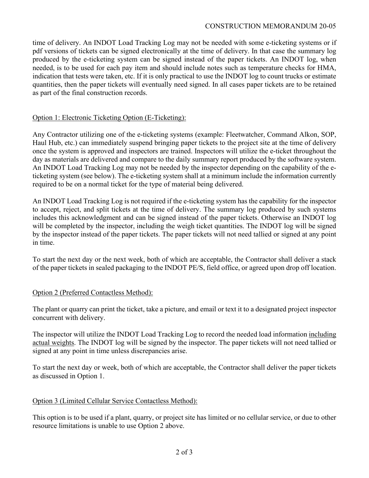time of delivery. An INDOT Load Tracking Log may not be needed with some e-ticketing systems or if pdf versions of tickets can be signed electronically at the time of delivery. In that case the summary log produced by the e-ticketing system can be signed instead of the paper tickets. An INDOT log, when needed, is to be used for each pay item and should include notes such as temperature checks for HMA, indication that tests were taken, etc. If it is only practical to use the INDOT log to count trucks or estimate quantities, then the paper tickets will eventually need signed. In all cases paper tickets are to be retained as part of the final construction records.

## Option 1: Electronic Ticketing Option (E-Ticketing):

Any Contractor utilizing one of the e-ticketing systems (example: Fleetwatcher, Command Alkon, SOP, Haul Hub, etc.) can immediately suspend bringing paper tickets to the project site at the time of delivery once the system is approved and inspectors are trained. Inspectors will utilize the e-ticket throughout the day as materials are delivered and compare to the daily summary report produced by the software system. An INDOT Load Tracking Log may not be needed by the inspector depending on the capability of the eticketing system (see below). The e-ticketing system shall at a minimum include the information currently required to be on a normal ticket for the type of material being delivered.

An INDOT Load Tracking Log is not required if the e-ticketing system has the capability for the inspector to accept, reject, and split tickets at the time of delivery. The summary log produced by such systems includes this acknowledgment and can be signed instead of the paper tickets. Otherwise an INDOT log will be completed by the inspector, including the weigh ticket quantities. The INDOT log will be signed by the inspector instead of the paper tickets. The paper tickets will not need tallied or signed at any point in time.

To start the next day or the next week, both of which are acceptable, the Contractor shall deliver a stack of the paper tickets in sealed packaging to the INDOT PE/S, field office, or agreed upon drop off location.

## Option 2 (Preferred Contactless Method):

The plant or quarry can print the ticket, take a picture, and email or text it to a designated project inspector concurrent with delivery.

The inspector will utilize the INDOT Load Tracking Log to record the needed load information including actual weights. The INDOT log will be signed by the inspector. The paper tickets will not need tallied or signed at any point in time unless discrepancies arise.

To start the next day or week, both of which are acceptable, the Contractor shall deliver the paper tickets as discussed in Option 1.

## Option 3 (Limited Cellular Service Contactless Method):

This option is to be used if a plant, quarry, or project site has limited or no cellular service, or due to other resource limitations is unable to use Option 2 above.